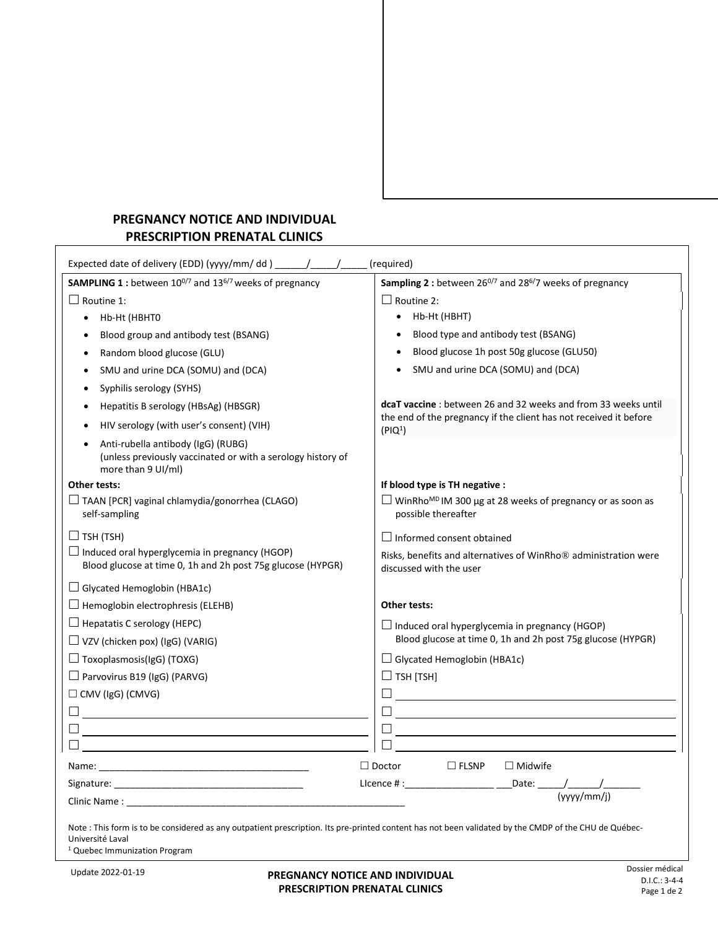## **PREGNANCY NOTICE AND INDIVIDUAL PRESCRIPTION PRENATAL CLINICS**

| SAMPLING 1 : between 10 <sup>0/7</sup> and 13 <sup>6/7</sup> weeks of pregnancy                                                                                                                                                | Sampling 2 : between 260/7 and 286/7 weeks of pregnancy                                                                  |
|--------------------------------------------------------------------------------------------------------------------------------------------------------------------------------------------------------------------------------|--------------------------------------------------------------------------------------------------------------------------|
| $\Box$ Routine 1:                                                                                                                                                                                                              | $\Box$ Routine 2:                                                                                                        |
| Hb-Ht (HBHTO<br>$\bullet$                                                                                                                                                                                                      | • Hb-Ht (HBHT)                                                                                                           |
| Blood group and antibody test (BSANG)                                                                                                                                                                                          | Blood type and antibody test (BSANG)                                                                                     |
| Random blood glucose (GLU)<br>٠                                                                                                                                                                                                | Blood glucose 1h post 50g glucose (GLU50)<br>$\bullet$                                                                   |
| SMU and urine DCA (SOMU) and (DCA)<br>$\bullet$                                                                                                                                                                                | SMU and urine DCA (SOMU) and (DCA)                                                                                       |
| Syphilis serology (SYHS)<br>$\bullet$                                                                                                                                                                                          |                                                                                                                          |
| Hepatitis B serology (HBsAg) (HBSGR)                                                                                                                                                                                           | <b>dcaT vaccine</b> : between 26 and 32 weeks and from 33 weeks until                                                    |
| HIV serology (with user's consent) (VIH)                                                                                                                                                                                       | the end of the pregnancy if the client has not received it before<br>(PIQ <sup>1</sup> )                                 |
| Anti-rubella antibody (IgG) (RUBG)<br>$\bullet$<br>(unless previously vaccinated or with a serology history of<br>more than 9 UI/ml)                                                                                           |                                                                                                                          |
| Other tests:                                                                                                                                                                                                                   | If blood type is TH negative :                                                                                           |
| $\Box$ TAAN [PCR] vaginal chlamydia/gonorrhea (CLAGO)<br>self-sampling                                                                                                                                                         | $\Box$ WinRho <sup>MD</sup> IM 300 µg at 28 weeks of pregnancy or as soon as<br>possible thereafter                      |
| $\Box$ TSH (TSH)                                                                                                                                                                                                               | $\Box$ Informed consent obtained                                                                                         |
| $\Box$ Induced oral hyperglycemia in pregnancy (HGOP)<br>Blood glucose at time 0, 1h and 2h post 75g glucose (HYPGR)                                                                                                           | Risks, benefits and alternatives of WinRho <sup>®</sup> administration were<br>discussed with the user                   |
| $\Box$ Glycated Hemoglobin (HBA1c)                                                                                                                                                                                             |                                                                                                                          |
| $\Box$ Hemoglobin electrophresis (ELEHB)                                                                                                                                                                                       | Other tests:                                                                                                             |
| $\Box$ Hepatatis C serology (HEPC)                                                                                                                                                                                             | $\Box$ Induced oral hyperglycemia in pregnancy (HGOP)                                                                    |
| $\Box$ VZV (chicken pox) (IgG) (VARIG)                                                                                                                                                                                         | Blood glucose at time 0, 1h and 2h post 75g glucose (HYPGR)                                                              |
| $\Box$ Toxoplasmosis(IgG) (TOXG)                                                                                                                                                                                               | $\Box$ Glycated Hemoglobin (HBA1c)                                                                                       |
| $\Box$ Parvovirus B19 (IgG) (PARVG)                                                                                                                                                                                            | $\Box$ TSH [TSH]                                                                                                         |
| $\Box$ CMV (IgG) (CMVG)                                                                                                                                                                                                        | 0 <u>- Carl Carl Communication and the se</u> t of the set of the set of the set of the set of the set of the set of the |
| 0 <u>____________________________</u>                                                                                                                                                                                          | <u>0 _ _ _ _ _ _ _ _ _ _ _</u>                                                                                           |
|                                                                                                                                                                                                                                | Ш                                                                                                                        |
|                                                                                                                                                                                                                                |                                                                                                                          |
|                                                                                                                                                                                                                                | $\square$ FLSNP<br>$\Box$ Doctor<br>$\Box$ Midwife                                                                       |
| Signature: the contract of the contract of the contract of the contract of the contract of the contract of the contract of the contract of the contract of the contract of the contract of the contract of the contract of the |                                                                                                                          |
|                                                                                                                                                                                                                                |                                                                                                                          |